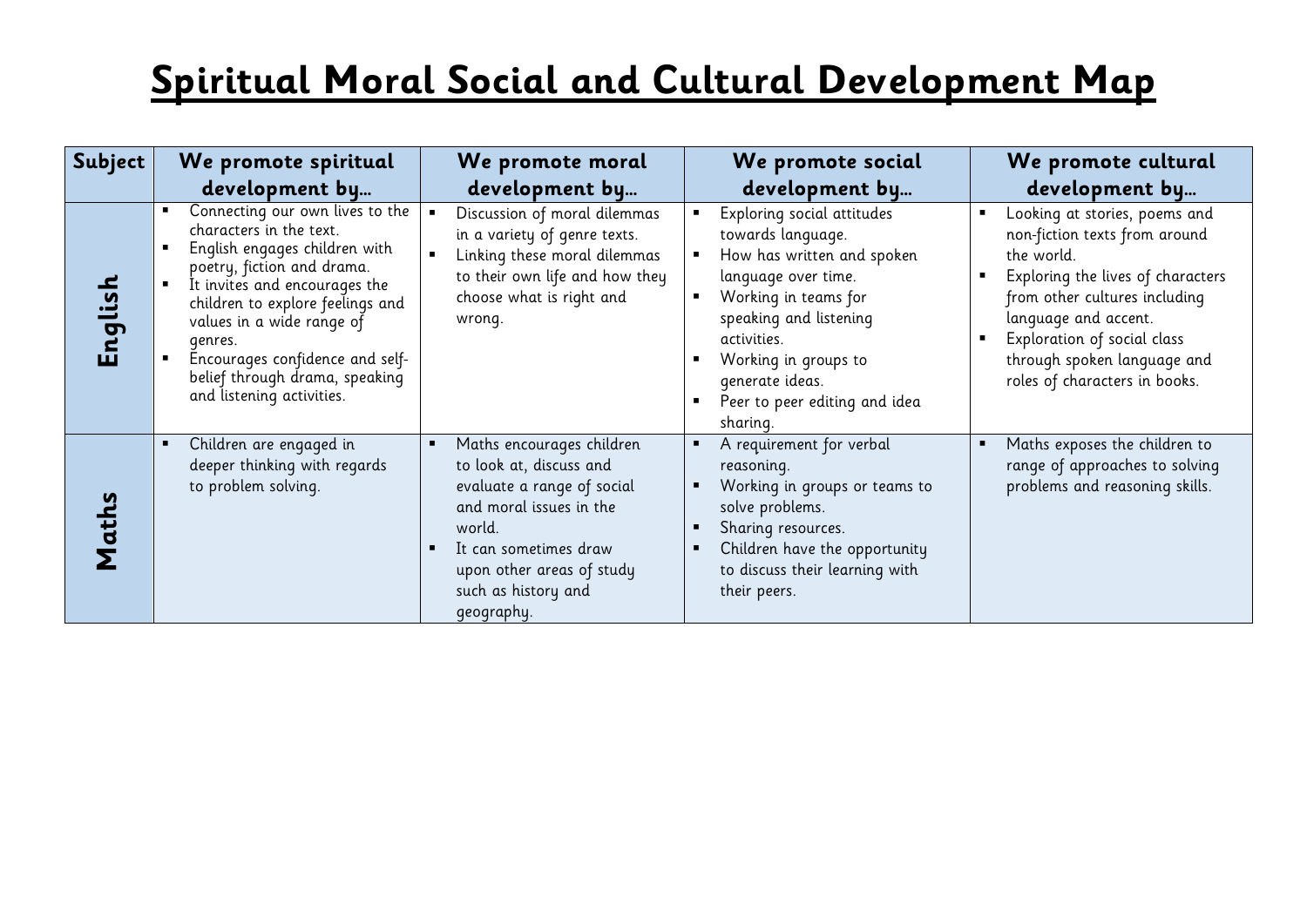| Subject | We promote spiritual                                                                                                                                                                                                                                                                                                                     | We promote moral                                                                                                                                                                                                                     | We promote social                                                                                                                                                                                                                                             | We promote cultural                                                                                                                                                                                                                                                       |
|---------|------------------------------------------------------------------------------------------------------------------------------------------------------------------------------------------------------------------------------------------------------------------------------------------------------------------------------------------|--------------------------------------------------------------------------------------------------------------------------------------------------------------------------------------------------------------------------------------|---------------------------------------------------------------------------------------------------------------------------------------------------------------------------------------------------------------------------------------------------------------|---------------------------------------------------------------------------------------------------------------------------------------------------------------------------------------------------------------------------------------------------------------------------|
|         | development by                                                                                                                                                                                                                                                                                                                           | development by                                                                                                                                                                                                                       | development by                                                                                                                                                                                                                                                | development by                                                                                                                                                                                                                                                            |
| English | Connecting our own lives to the<br>characters in the text.<br>English engages children with<br>poetry, fiction and drama.<br>It invites and encourages the<br>children to explore feelings and<br>values in a wide range of<br>genres.<br>Encourages confidence and self-<br>belief through drama, speaking<br>and listening activities. | Discussion of moral dilemmas<br>in a variety of genre texts.<br>Linking these moral dilemmas<br>to their own life and how they<br>choose what is right and<br>wrong.                                                                 | Exploring social attitudes<br>towards language.<br>How has written and spoken<br>language over time.<br>Working in teams for<br>speaking and listening<br>activities.<br>Working in groups to<br>generate ideas.<br>Peer to peer editing and idea<br>sharing. | Looking at stories, poems and<br>non-fiction texts from around<br>the world.<br>Exploring the lives of characters<br>from other cultures including<br>language and accent.<br>Exploration of social class<br>through spoken language and<br>roles of characters in books. |
| Maths   | Children are engaged in<br>deeper thinking with regards<br>to problem solving.                                                                                                                                                                                                                                                           | Maths encourages children<br>$\blacksquare$<br>to look at, discuss and<br>evaluate a range of social<br>and moral issues in the<br>world.<br>It can sometimes draw<br>upon other areas of study<br>such as history and<br>geography. | A requirement for verbal<br>reasoning.<br>Working in groups or teams to<br>solve problems.<br>Sharing resources.<br>Children have the opportunity<br>to discuss their learning with<br>their peers.                                                           | Maths exposes the children to<br>range of approaches to solving<br>problems and reasoning skills.                                                                                                                                                                         |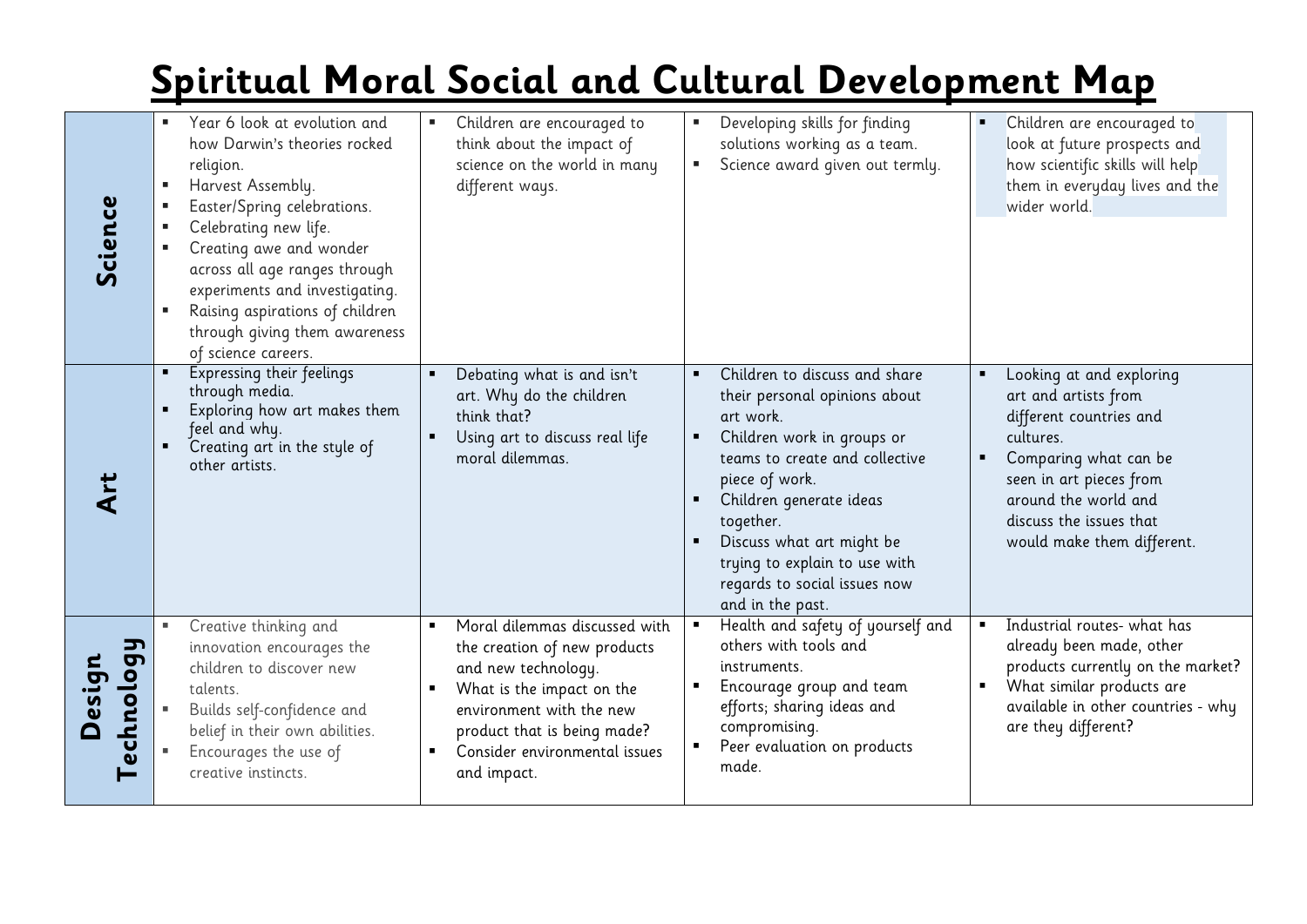| Science                         | Year 6 look at evolution and<br>how Darwin's theories rocked<br>religion.<br>Harvest Assembly.<br>Easter/Spring celebrations.<br>Celebrating new life.<br>Creating awe and wonder<br>across all age ranges through<br>experiments and investigating.<br>Raising aspirations of children<br>through giving them awareness<br>of science careers. | Children are encouraged to<br>п<br>think about the impact of<br>science on the world in many<br>different ways.                                                                                                                                | Developing skills for finding<br>п<br>solutions working as a team.<br>Science award given out termly.<br>$\blacksquare$                                                                                                                                                                                                                   | Children are encouraged to<br>look at future prospects and<br>how scientific skills will help<br>them in everyday lives and the<br>wider world.                                                                               |
|---------------------------------|-------------------------------------------------------------------------------------------------------------------------------------------------------------------------------------------------------------------------------------------------------------------------------------------------------------------------------------------------|------------------------------------------------------------------------------------------------------------------------------------------------------------------------------------------------------------------------------------------------|-------------------------------------------------------------------------------------------------------------------------------------------------------------------------------------------------------------------------------------------------------------------------------------------------------------------------------------------|-------------------------------------------------------------------------------------------------------------------------------------------------------------------------------------------------------------------------------|
|                                 | Expressing their feelings<br>through media.<br>Exploring how art makes them<br>feel and why.<br>Creating art in the style of<br>other artists.                                                                                                                                                                                                  | Debating what is and isn't<br>art. Why do the children<br>think that?<br>Using art to discuss real life<br>$\blacksquare$<br>moral dilemmas.                                                                                                   | Children to discuss and share<br>$\blacksquare$<br>their personal opinions about<br>art work.<br>Children work in groups or<br>teams to create and collective<br>piece of work.<br>Children generate ideas<br>together.<br>Discuss what art might be<br>trying to explain to use with<br>regards to social issues now<br>and in the past. | Looking at and exploring<br>art and artists from<br>different countries and<br>cultures.<br>Comparing what can be<br>seen in art pieces from<br>around the world and<br>discuss the issues that<br>would make them different. |
| <u>ης</u><br>echnolog<br>lesign | Creative thinking and<br>innovation encourages the<br>children to discover new<br>talents.<br>Builds self-confidence and<br>belief in their own abilities.<br>Encourages the use of<br>creative instincts.                                                                                                                                      | Moral dilemmas discussed with<br>the creation of new products<br>and new technology.<br>What is the impact on the<br>environment with the new<br>product that is being made?<br>Consider environmental issues<br>$\blacksquare$<br>and impact. | Health and safety of yourself and<br>others with tools and<br>instruments.<br>Encourage group and team<br>efforts; sharing ideas and<br>compromising.<br>Peer evaluation on products<br>made.                                                                                                                                             | Industrial routes- what has<br>$\blacksquare$<br>already been made, other<br>products currently on the market?<br>What similar products are<br>available in other countries - why<br>are they different?                      |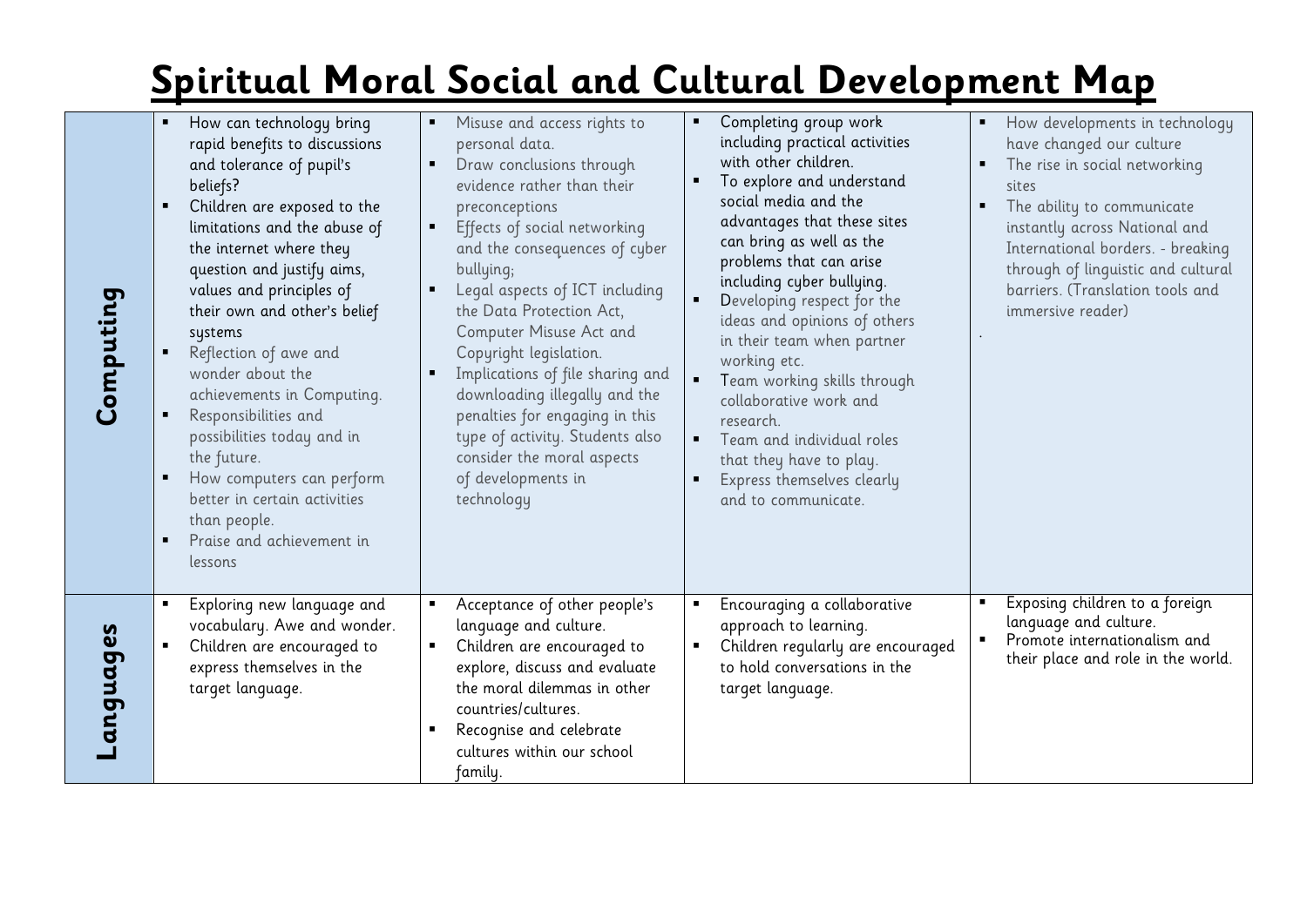| Computing | How can technology bring<br>٠<br>rapid benefits to discussions<br>and tolerance of pupil's<br>beliefs?<br>Children are exposed to the<br>٠<br>limitations and the abuse of<br>the internet where they<br>question and justify aims,<br>values and principles of<br>their own and other's belief<br>systems<br>Reflection of awe and<br>٠<br>wonder about the<br>achievements in Computing.<br>Responsibilities and<br>$\blacksquare$<br>possibilities today and in<br>the future.<br>How computers can perform<br>$\blacksquare$<br>better in certain activities<br>than people.<br>Praise and achievement in<br>٠<br>lessons | Misuse and access rights to<br>personal data.<br>Draw conclusions through<br>evidence rather than their<br>preconceptions<br>Effects of social networking<br>and the consequences of cyber<br>bullying;<br>Legal aspects of ICT including<br>the Data Protection Act,<br>Computer Misuse Act and<br>Copyright legislation.<br>Implications of file sharing and<br>downloading illegally and the<br>penalties for engaging in this<br>type of activity. Students also<br>consider the moral aspects<br>of developments in<br>technology | Completing group work<br>including practical activities<br>with other children.<br>To explore and understand<br>social media and the<br>advantages that these sites<br>can bring as well as the<br>problems that can arise<br>including cyber bullying.<br>Developing respect for the<br>ideas and opinions of others<br>in their team when partner<br>working etc.<br>$\blacksquare$<br>Team working skills through<br>collaborative work and<br>research.<br>Team and individual roles<br>that they have to play.<br>Express themselves clearly<br>$\blacksquare$<br>and to communicate. | How developments in technology<br>$\blacksquare$<br>have changed our culture<br>The rise in social networking<br>sites<br>The ability to communicate<br>$\blacksquare$<br>instantly across National and<br>International borders. - breaking<br>through of linguistic and cultural<br>barriers. (Translation tools and<br>immersive reader) |
|-----------|-------------------------------------------------------------------------------------------------------------------------------------------------------------------------------------------------------------------------------------------------------------------------------------------------------------------------------------------------------------------------------------------------------------------------------------------------------------------------------------------------------------------------------------------------------------------------------------------------------------------------------|----------------------------------------------------------------------------------------------------------------------------------------------------------------------------------------------------------------------------------------------------------------------------------------------------------------------------------------------------------------------------------------------------------------------------------------------------------------------------------------------------------------------------------------|--------------------------------------------------------------------------------------------------------------------------------------------------------------------------------------------------------------------------------------------------------------------------------------------------------------------------------------------------------------------------------------------------------------------------------------------------------------------------------------------------------------------------------------------------------------------------------------------|---------------------------------------------------------------------------------------------------------------------------------------------------------------------------------------------------------------------------------------------------------------------------------------------------------------------------------------------|
| anguages  | Exploring new language and<br>vocabulary. Awe and wonder.<br>Children are encouraged to<br>$\blacksquare$<br>express themselves in the<br>target language.                                                                                                                                                                                                                                                                                                                                                                                                                                                                    | Acceptance of other people's<br>language and culture.<br>Children are encouraged to<br>explore, discuss and evaluate<br>the moral dilemmas in other<br>countries/cultures.<br>Recognise and celebrate<br>cultures within our school<br>family.                                                                                                                                                                                                                                                                                         | Encouraging a collaborative<br>approach to learning.<br>Children regularly are encouraged<br>$\blacksquare$<br>to hold conversations in the<br>target language.                                                                                                                                                                                                                                                                                                                                                                                                                            | Exposing children to a foreign<br>language and culture.<br>Promote internationalism and<br>their place and role in the world.                                                                                                                                                                                                               |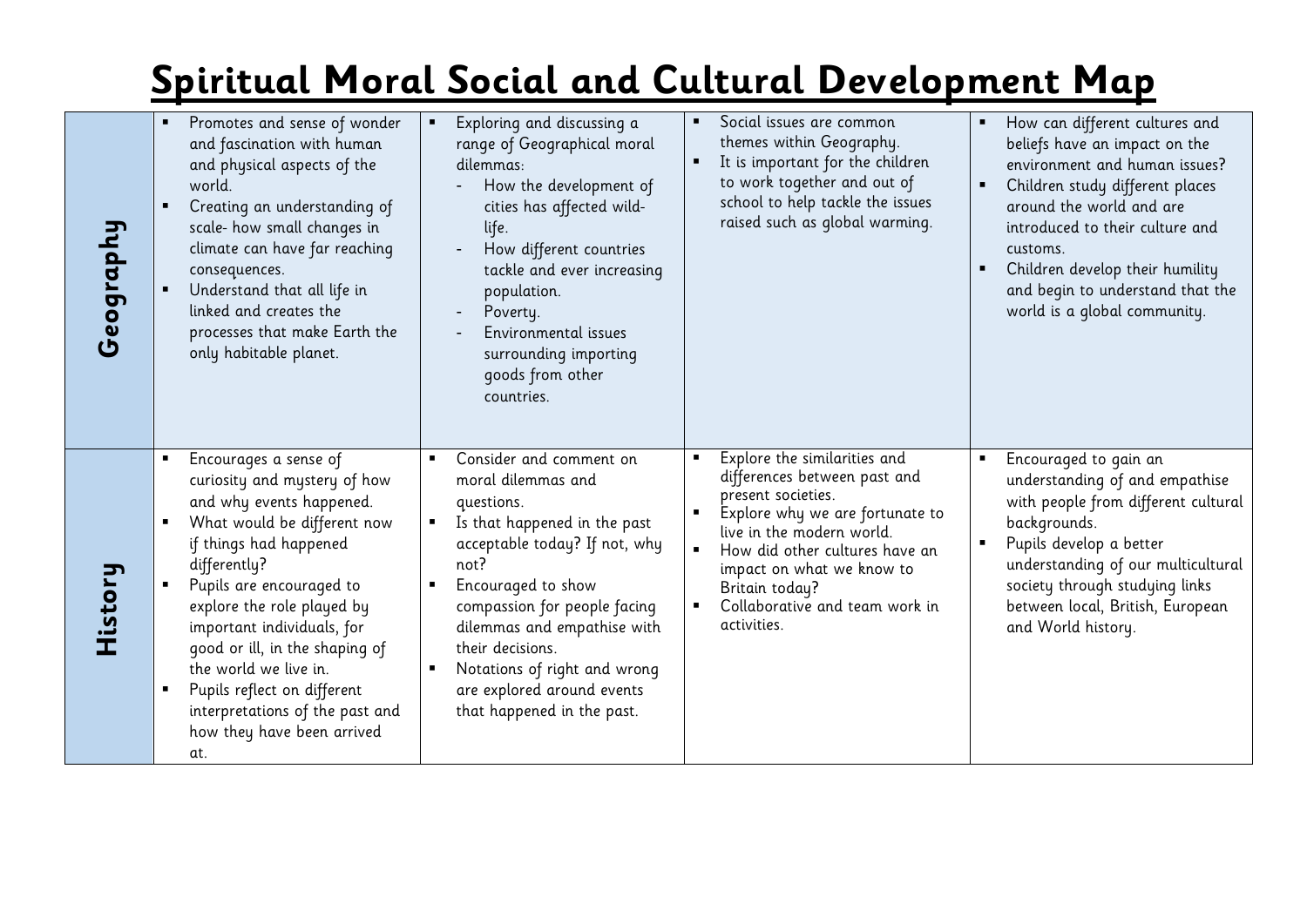| Geography | Promotes and sense of wonder<br>and fascination with human<br>and physical aspects of the<br>world.<br>Creating an understanding of<br>$\blacksquare$<br>scale- how small changes in<br>climate can have far reaching<br>consequences.<br>Understand that all life in<br>linked and creates the<br>processes that make Earth the<br>only habitable planet.                                                                                                                 | Exploring and discussing a<br>range of Geographical moral<br>dilemmas:<br>How the development of<br>cities has affected wild-<br>life.<br>How different countries<br>tackle and ever increasing<br>population.<br>Poverty.<br>Environmental issues<br>surrounding importing<br>goods from other<br>countries.                                                                 | Social issues are common<br>themes within Geography.<br>It is important for the children<br>to work together and out of<br>school to help tackle the issues<br>raised such as global warming.                                                                                        | How can different cultures and<br>beliefs have an impact on the<br>environment and human issues?<br>Children study different places<br>around the world and are<br>introduced to their culture and<br>customs.<br>Children develop their humility<br>and begin to understand that the<br>world is a global community. |
|-----------|----------------------------------------------------------------------------------------------------------------------------------------------------------------------------------------------------------------------------------------------------------------------------------------------------------------------------------------------------------------------------------------------------------------------------------------------------------------------------|-------------------------------------------------------------------------------------------------------------------------------------------------------------------------------------------------------------------------------------------------------------------------------------------------------------------------------------------------------------------------------|--------------------------------------------------------------------------------------------------------------------------------------------------------------------------------------------------------------------------------------------------------------------------------------|-----------------------------------------------------------------------------------------------------------------------------------------------------------------------------------------------------------------------------------------------------------------------------------------------------------------------|
| History   | Encourages a sense of<br>$\blacksquare$<br>curiosity and mystery of how<br>and why events happened.<br>What would be different now<br>$\blacksquare$<br>if things had happened<br>differently?<br>Pupils are encouraged to<br>explore the role played by<br>important individuals, for<br>good or ill, in the shaping of<br>the world we live in.<br>Pupils reflect on different<br>$\blacksquare$<br>interpretations of the past and<br>how they have been arrived<br>at. | Consider and comment on<br>$\blacksquare$<br>moral dilemmas and<br>questions.<br>Is that happened in the past<br>acceptable today? If not, why<br>not?<br>Encouraged to show<br>$\blacksquare$<br>compassion for people facing<br>dilemmas and empathise with<br>their decisions.<br>Notations of right and wrong<br>are explored around events<br>that happened in the past. | Explore the similarities and<br>differences between past and<br>present societies.<br>Explore why we are fortunate to<br>live in the modern world.<br>How did other cultures have an<br>impact on what we know to<br>Britain today?<br>Collaborative and team work in<br>activities. | Encouraged to gain an<br>understanding of and empathise<br>with people from different cultural<br>backgrounds.<br>Pupils develop a better<br>understanding of our multicultural<br>society through studying links<br>between local, British, European<br>and World history.                                           |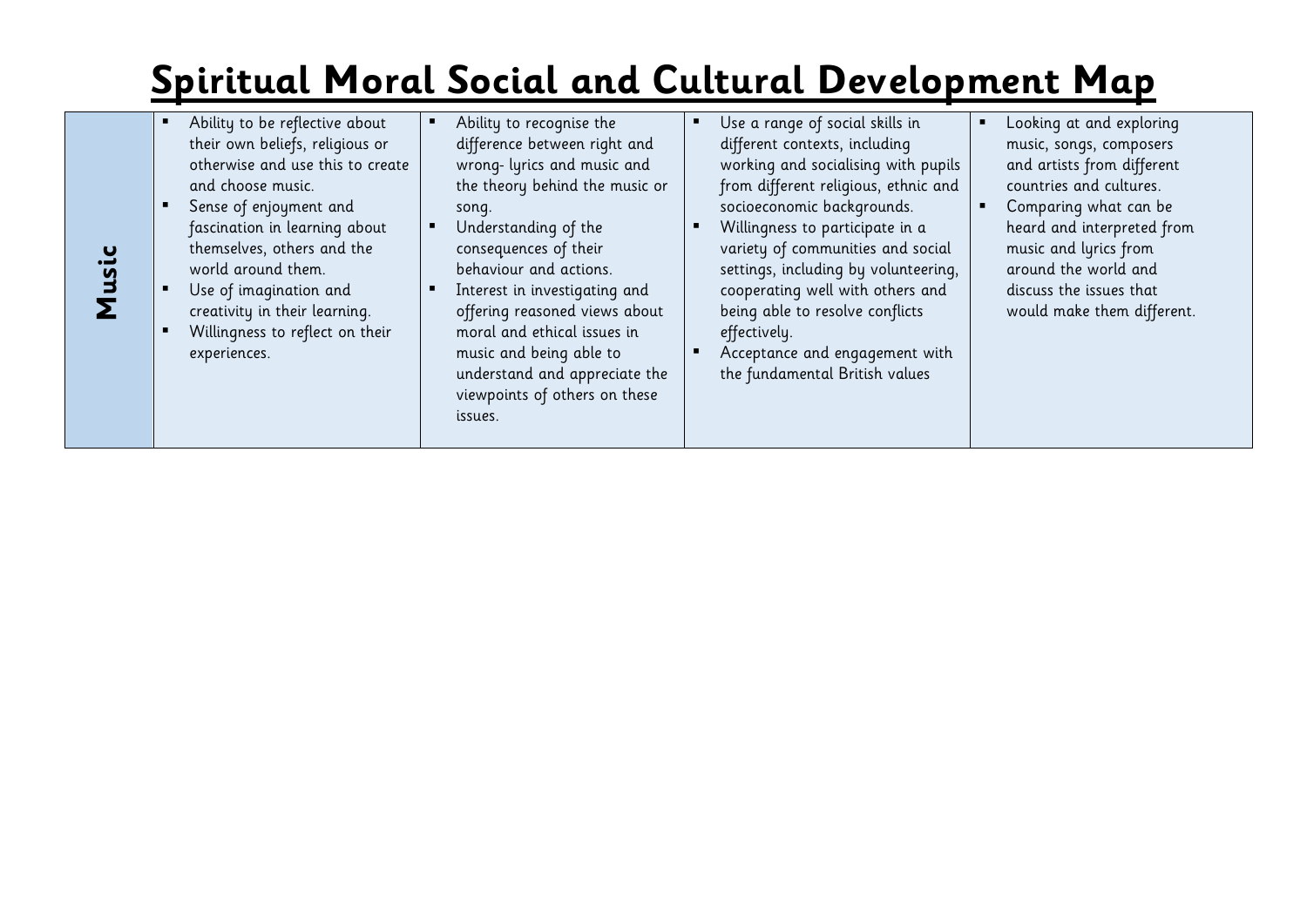- Ability to be reflective about their own beliefs, religious or otherwise and use this to create and choose music.
- Sense of enjoyment and fascination in learning about themselves, others and the world around them.
- Use of imagination and creativity in their learning.

**Music**

 Willingness to reflect on their experiences.

- Ability to recognise the difference between right and wrong- lyrics and music and the theory behind the music or song.
- **Understanding of the** consequences of their behaviour and actions.
- **Interest in investigating and** offering reasoned views about moral and ethical issues in music and being able to understand and appreciate the viewpoints of others on these issues.
- Use a range of social skills in different contexts, including working and socialising with pupils from different religious, ethnic and socioeconomic backgrounds.
- Willingness to participate in a variety of communities and social settings, including by volunteering, cooperating well with others and being able to resolve conflicts effectively.
- **Acceptance and engagement with** the fundamental British values
- **Looking at and exploring** music, songs, composers and artists from different countries and cultures.
- Comparing what can be heard and interpreted from music and lyrics from around the world and discuss the issues that would make them different.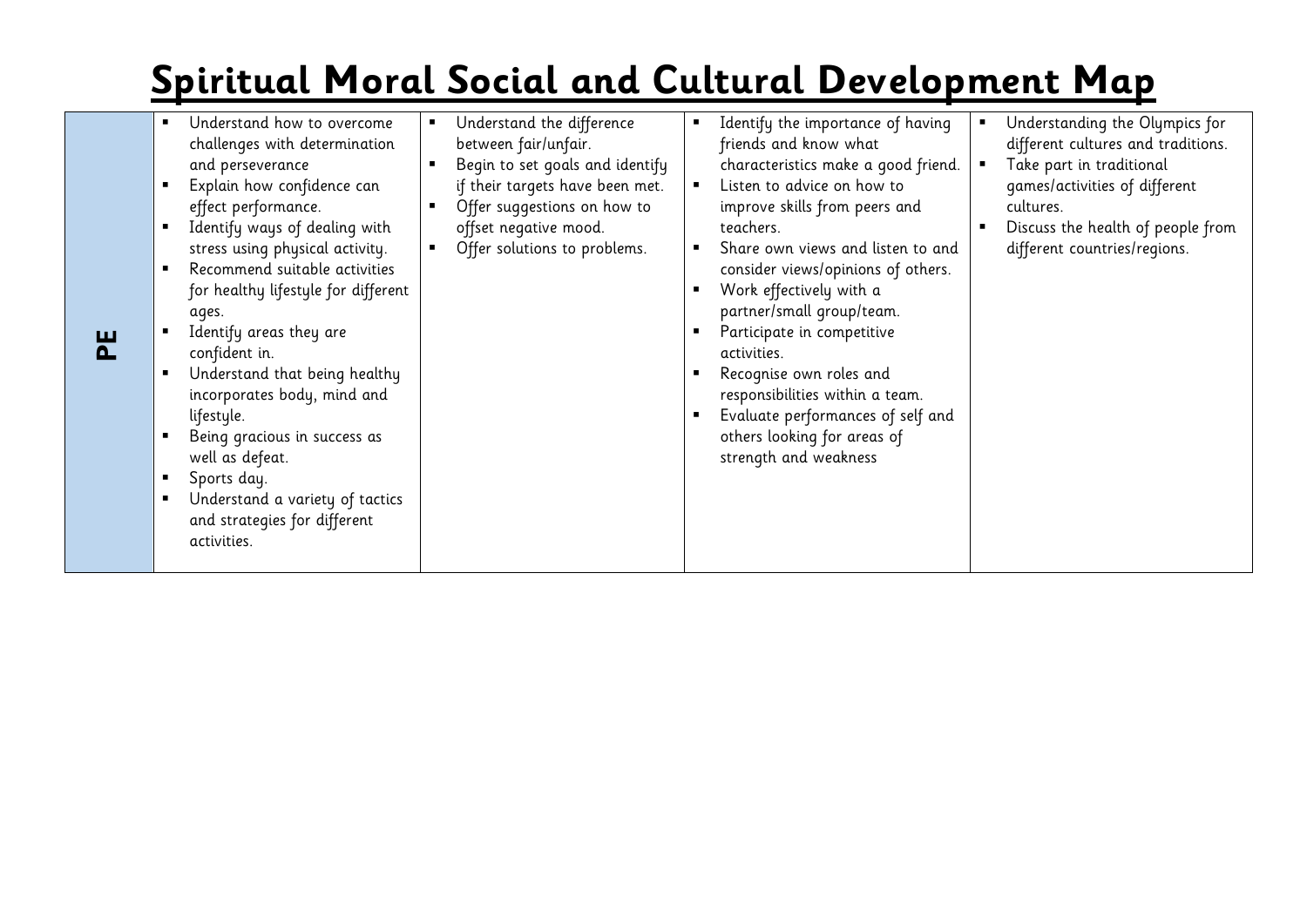| Understand how to overcome<br>Understand the difference<br>Understanding the Olympics for<br>Identify the importance of having<br>friends and know what<br>different cultures and traditions.<br>challenges with determination<br>between fair/unfair.<br>Begin to set goals and identify<br>characteristics make a good friend.<br>Take part in traditional<br>and perseverance<br>Listen to advice on how to<br>if their targets have been met.<br>Explain how confidence can<br>games/activities of different |
|------------------------------------------------------------------------------------------------------------------------------------------------------------------------------------------------------------------------------------------------------------------------------------------------------------------------------------------------------------------------------------------------------------------------------------------------------------------------------------------------------------------|
|------------------------------------------------------------------------------------------------------------------------------------------------------------------------------------------------------------------------------------------------------------------------------------------------------------------------------------------------------------------------------------------------------------------------------------------------------------------------------------------------------------------|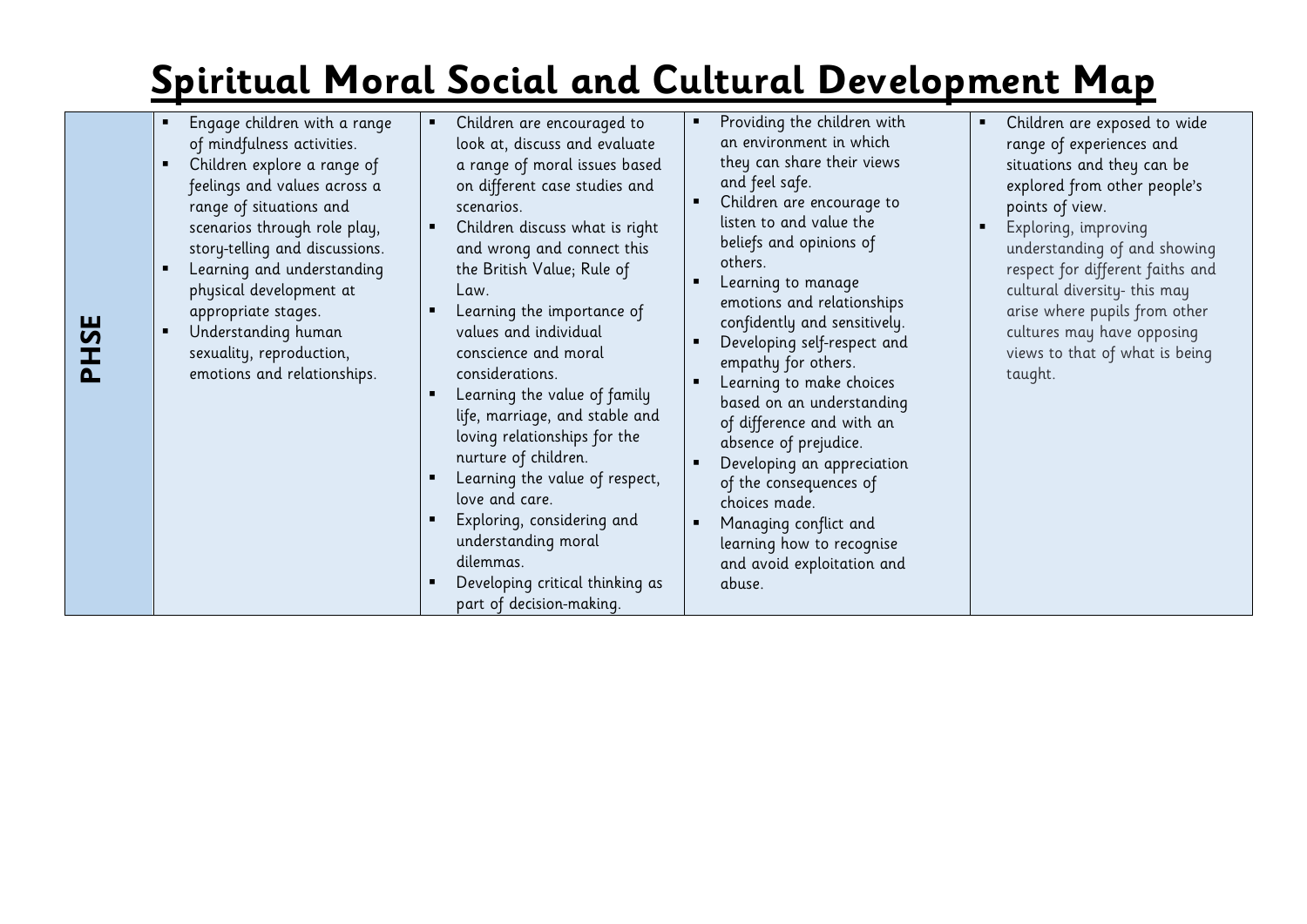| PHSE | Engage children with a range<br>of mindfulness activities.<br>Children explore a range of<br>feelings and values across a<br>range of situations and<br>scenarios through role play,<br>story-telling and discussions.<br>Learning and understanding<br>physical development at<br>appropriate stages.<br>Understanding human<br>sexuality, reproduction,<br>emotions and relationships. | Children are encouraged to<br>٠<br>look at, discuss and evaluate<br>a range of moral issues based<br>on different case studies and<br>scenarios.<br>Children discuss what is right<br>and wrong and connect this<br>the British Value; Rule of<br>Law.<br>Learning the importance of<br>values and individual<br>conscience and moral<br>considerations.<br>Learning the value of family<br>life, marriage, and stable and<br>loving relationships for the<br>nurture of children.<br>Learning the value of respect,<br>love and care.<br>Exploring, considering and<br>understanding moral<br>dilemmas.<br>Developing critical thinking as<br>part of decision-making. | Providing the children with<br>an environment in which<br>they can share their views<br>and feel safe.<br>Children are encourage to<br>listen to and value the<br>beliefs and opinions of<br>others.<br>Learning to manage<br>emotions and relationships<br>confidently and sensitively.<br>Developing self-respect and<br>empathy for others.<br>Learning to make choices<br>based on an understanding<br>of difference and with an<br>absence of prejudice.<br>Developing an appreciation<br>of the consequences of<br>choices made.<br>Managing conflict and<br>learning how to recognise<br>and avoid exploitation and<br>abuse. | $\blacksquare$<br>$\blacksquare$ | Children are exposed to wide<br>range of experiences and<br>situations and they can be<br>explored from other people's<br>points of view.<br>Exploring, improving<br>understanding of and showing<br>respect for different faiths and<br>cultural diversity- this may<br>arise where pupils from other<br>cultures may have opposing<br>views to that of what is being<br>taught. |
|------|------------------------------------------------------------------------------------------------------------------------------------------------------------------------------------------------------------------------------------------------------------------------------------------------------------------------------------------------------------------------------------------|-------------------------------------------------------------------------------------------------------------------------------------------------------------------------------------------------------------------------------------------------------------------------------------------------------------------------------------------------------------------------------------------------------------------------------------------------------------------------------------------------------------------------------------------------------------------------------------------------------------------------------------------------------------------------|--------------------------------------------------------------------------------------------------------------------------------------------------------------------------------------------------------------------------------------------------------------------------------------------------------------------------------------------------------------------------------------------------------------------------------------------------------------------------------------------------------------------------------------------------------------------------------------------------------------------------------------|----------------------------------|-----------------------------------------------------------------------------------------------------------------------------------------------------------------------------------------------------------------------------------------------------------------------------------------------------------------------------------------------------------------------------------|